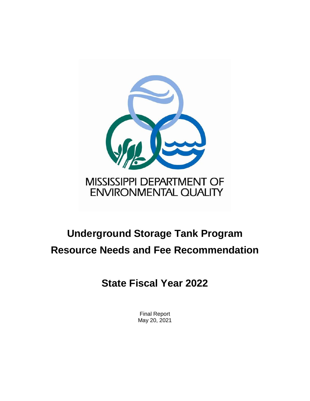

### MISSISSIPPI DEPARTMENT OF ENVIRONMENTAL QUALITY

# **Underground Storage Tank Program Resource Needs and Fee Recommendation**

## **State Fiscal Year 2022**

Final Report May 20, 2021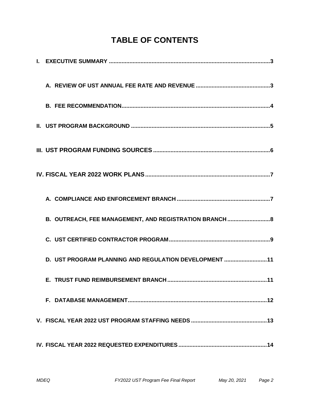### **TABLE OF CONTENTS**

| B. OUTREACH, FEE MANAGEMENT, AND REGISTRATION BRANCH  8 |  |
|---------------------------------------------------------|--|
|                                                         |  |
| D. UST PROGRAM PLANNING AND REGULATION DEVELOPMENT 11   |  |
|                                                         |  |
|                                                         |  |
|                                                         |  |
|                                                         |  |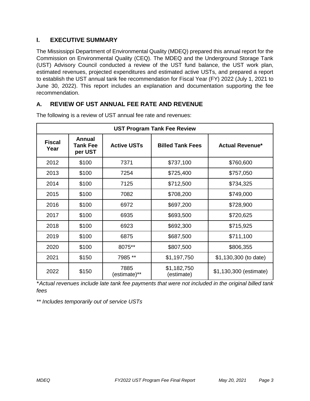#### **I. EXECUTIVE SUMMARY**

The Mississippi Department of Environmental Quality (MDEQ) prepared this annual report for the Commission on Environmental Quality (CEQ). The MDEQ and the Underground Storage Tank (UST) Advisory Council conducted a review of the UST fund balance, the UST work plan, estimated revenues, projected expenditures and estimated active USTs, and prepared a report to establish the UST annual tank fee recommendation for Fiscal Year (FY) 2022 (July 1, 2021 to June 30, 2022). This report includes an explanation and documentation supporting the fee recommendation.

#### **A. REVIEW OF UST ANNUAL FEE RATE AND REVENUE**

| <b>UST Program Tank Fee Review</b>                                                  |       |                      |                           |                        |  |  |
|-------------------------------------------------------------------------------------|-------|----------------------|---------------------------|------------------------|--|--|
| <b>Annual</b><br><b>Fiscal</b><br><b>Active USTs</b><br>Tank Fee<br>Year<br>per UST |       |                      | <b>Billed Tank Fees</b>   | <b>Actual Revenue*</b> |  |  |
| 2012                                                                                | \$100 | 7371                 | \$737,100                 | \$760,600              |  |  |
| 2013                                                                                | \$100 | 7254                 | \$725,400                 | \$757,050              |  |  |
| 2014                                                                                | \$100 | 7125                 | \$712,500                 | \$734,325              |  |  |
| 2015                                                                                | \$100 | 7082                 | \$708,200                 | \$749,000              |  |  |
| 2016                                                                                | \$100 | 6972                 | \$697,200                 | \$728,900              |  |  |
| 2017                                                                                | \$100 | 6935                 | \$693,500                 | \$720,625              |  |  |
| 2018                                                                                | \$100 | 6923                 | \$692,300                 | \$715,925              |  |  |
| 2019                                                                                | \$100 | 6875                 | \$687,500                 | \$711,100              |  |  |
| 2020                                                                                | \$100 | 8075**               | \$807,500                 | \$806,355              |  |  |
| 2021                                                                                | \$150 | 7985 **              | \$1,197,750               | \$1,130,300 (to date)  |  |  |
| 2022                                                                                | \$150 | 7885<br>(estimate)** | \$1,182,750<br>(estimate) | \$1,130,300 (estimate) |  |  |

The following is a review of UST annual fee rate and revenues:

\**Actual revenues include late tank fee payments that were not included in the original billed tank fees*

*\*\* Includes temporarily out of service USTs*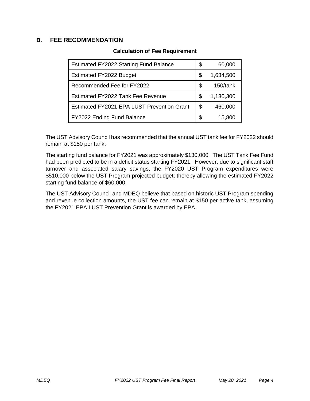#### **B. FEE RECOMMENDATION**

#### **Calculation of Fee Requirement**

| <b>Estimated FY2022 Starting Fund Balance</b> | \$  | 60,000    |
|-----------------------------------------------|-----|-----------|
| Estimated FY2022 Budget                       | \$  | 1,634,500 |
| Recommended Fee for FY2022                    | S   | 150/tank  |
| Estimated FY2022 Tank Fee Revenue             | \$. | 1,130,300 |
| Estimated FY2021 EPA LUST Prevention Grant    | \$  | 460,000   |
| FY2022 Ending Fund Balance                    | S   | 15,800    |

The UST Advisory Council has recommended that the annual UST tank fee for FY2022 should remain at \$150 per tank.

The starting fund balance for FY2021 was approximately \$130,000. The UST Tank Fee Fund had been predicted to be in a deficit status starting FY2021. However, due to significant staff turnover and associated salary savings, the FY2020 UST Program expenditures were \$510,000 below the UST Program projected budget; thereby allowing the estimated FY2022 starting fund balance of \$60,000.

The UST Advisory Council and MDEQ believe that based on historic UST Program spending and revenue collection amounts, the UST fee can remain at \$150 per active tank, assuming the FY2021 EPA LUST Prevention Grant is awarded by EPA.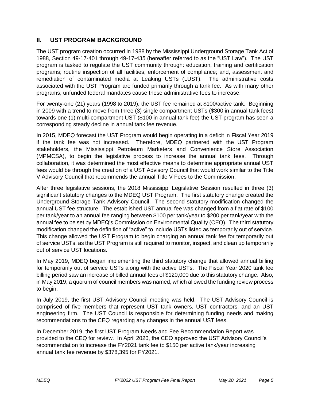#### **II. UST PROGRAM BACKGROUND**

The UST program creation occurred in 1988 by the Mississippi Underground Storage Tank Act of 1988, Section 49-17-401 through 49-17-435 (hereafter referred to as the "UST Law"). The UST program is tasked to regulate the UST community through: education, training and certification programs; routine inspection of all facilities; enforcement of compliance; and, assessment and remediation of contaminated media at Leaking USTs (LUST). The administrative costs associated with the UST Program are funded primarily through a tank fee. As with many other programs, unfunded federal mandates cause these administrative fees to increase.

For twenty-one (21) years (1998 to 2019), the UST fee remained at \$100/active tank. Beginning in 2009 with a trend to move from three (3) single compartment USTs (\$300 in annual tank fees) towards one (1) multi-compartment UST (\$100 in annual tank fee) the UST program has seen a corresponding steady decline in annual tank fee revenue.

In 2015, MDEQ forecast the UST Program would begin operating in a deficit in Fiscal Year 2019 if the tank fee was not increased. Therefore, MDEQ partnered with the UST Program stakeholders, the Mississippi Petroleum Marketers and Convenience Store Association (MPMCSA), to begin the legislative process to increase the annual tank fees. Through collaboration, it was determined the most effective means to determine appropriate annual UST fees would be through the creation of a UST Advisory Council that would work similar to the Title V Advisory Council that recommends the annual Title V Fees to the Commission.

After three legislative sessions, the 2018 Mississippi Legislative Session resulted in three (3) significant statutory changes to the MDEQ UST Program. The first statutory change created the Underground Storage Tank Advisory Council. The second statutory modification changed the annual UST fee structure. The established UST annual fee was changed from a flat rate of \$100 per tank/year to an annual fee ranging between \$100 per tank/year to \$200 per tank/year with the annual fee to be set by MDEQ's Commission on Environmental Quality (CEQ). The third statutory modification changed the definition of "active" to include USTs listed as temporarily out of service. This change allowed the UST Program to begin charging an annual tank fee for temporarily out of service USTs, as the UST Program is still required to monitor, inspect, and clean up temporarily out of service UST locations.

In May 2019, MDEQ began implementing the third statutory change that allowed annual billing for temporarily out of service USTs along with the active USTs. The Fiscal Year 2020 tank fee billing period saw an increase of billed annual fees of \$120,000 due to this statutory change. Also, in May 2019, a quorum of council members was named, which allowed the funding review process to begin.

In July 2019, the first UST Advisory Council meeting was held. The UST Advisory Council is comprised of five members that represent UST tank owners, UST contractors, and an UST engineering firm. The UST Council is responsible for determining funding needs and making recommendations to the CEQ regarding any changes in the annual UST fees.

In December 2019, the first UST Program Needs and Fee Recommendation Report was provided to the CEQ for review. In April 2020, the CEQ approved the UST Advisory Council's recommendation to increase the FY2021 tank fee to \$150 per active tank/year increasing annual tank fee revenue by \$378,395 for FY2021.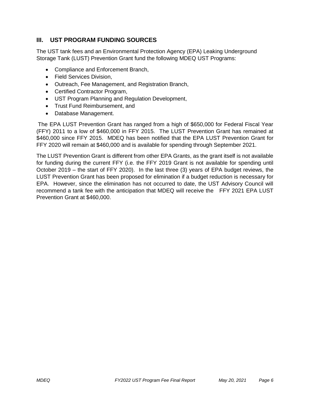#### **III. UST PROGRAM FUNDING SOURCES**

The UST tank fees and an Environmental Protection Agency (EPA) Leaking Underground Storage Tank (LUST) Prevention Grant fund the following MDEQ UST Programs:

- Compliance and Enforcement Branch,
- Field Services Division,
- Outreach, Fee Management, and Registration Branch,
- Certified Contractor Program,
- UST Program Planning and Regulation Development,
- Trust Fund Reimbursement, and
- Database Management.

The EPA LUST Prevention Grant has ranged from a high of \$650,000 for Federal Fiscal Year (FFY) 2011 to a low of \$460,000 in FFY 2015. The LUST Prevention Grant has remained at \$460,000 since FFY 2015. MDEQ has been notified that the EPA LUST Prevention Grant for FFY 2020 will remain at \$460,000 and is available for spending through September 2021.

The LUST Prevention Grant is different from other EPA Grants, as the grant itself is not available for funding during the current FFY (i.e. the FFY 2019 Grant is not available for spending until October 2019 – the start of FFY 2020). In the last three (3) years of EPA budget reviews, the LUST Prevention Grant has been proposed for elimination if a budget reduction is necessary for EPA. However, since the elimination has not occurred to date, the UST Advisory Council will recommend a tank fee with the anticipation that MDEQ will receive the FFY 2021 EPA LUST Prevention Grant at \$460,000.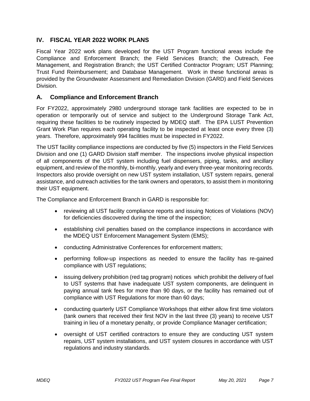#### **IV. FISCAL YEAR 2022 WORK PLANS**

Fiscal Year 2022 work plans developed for the UST Program functional areas include the Compliance and Enforcement Branch; the Field Services Branch; the Outreach, Fee Management, and Registration Branch; the UST Certified Contractor Program; UST Planning; Trust Fund Reimbursement; and Database Management. Work in these functional areas is provided by the Groundwater Assessment and Remediation Division (GARD) and Field Services Division.

#### **A. Compliance and Enforcement Branch**

For FY2022, approximately 2980 underground storage tank facilities are expected to be in operation or temporarily out of service and subject to the Underground Storage Tank Act, requiring these facilities to be routinely inspected by MDEQ staff. The EPA LUST Prevention Grant Work Plan requires each operating facility to be inspected at least once every three (3) years. Therefore, approximately 994 facilities must be inspected in FY2022.

The UST facility compliance inspections are conducted by five (5) inspectors in the Field Services Division and one (1) GARD Division staff member. The inspections involve physical inspection of all components of the UST system including fuel dispensers, piping, tanks, and ancillary equipment, and review of the monthly, bi-monthly, yearly and every three-year monitoring records. Inspectors also provide oversight on new UST system installation, UST system repairs, general assistance, and outreach activities for the tank owners and operators, to assist them in monitoring their UST equipment.

The Compliance and Enforcement Branch in GARD is responsible for:

- reviewing all UST facility compliance reports and issuing Notices of Violations (NOV) for deficiencies discovered during the time of the inspection;
- establishing civil penalties based on the compliance inspections in accordance with the MDEQ UST Enforcement Management System (EMS);
- conducting Administrative Conferences for enforcement matters;
- performing follow-up inspections as needed to ensure the facility has re-gained compliance with UST regulations;
- issuing delivery prohibition (red tag program) notices which prohibit the delivery of fuel to UST systems that have inadequate UST system components, are delinquent in paying annual tank fees for more than 90 days, or the facility has remained out of compliance with UST Regulations for more than 60 days;
- conducting quarterly UST Compliance Workshops that either allow first time violators (tank owners that received their first NOV in the last three (3) years) to receive UST training in lieu of a monetary penalty, or provide Compliance Manager certification;
- oversight of UST certified contractors to ensure they are conducting UST system repairs, UST system installations, and UST system closures in accordance with UST regulations and industry standards.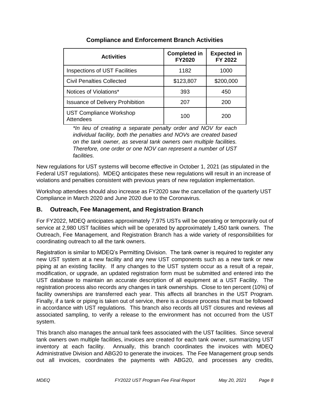| <b>Activities</b>                           | <b>Completed in</b><br><b>FY2020</b> | <b>Expected in</b><br>FY 2022 |  |
|---------------------------------------------|--------------------------------------|-------------------------------|--|
| <b>Inspections of UST Facilities</b>        | 1182                                 | 1000                          |  |
| <b>Civil Penalties Collected</b>            | \$123,807                            | \$200,000                     |  |
| Notices of Violations*                      | 393                                  | 450                           |  |
| <b>Issuance of Delivery Prohibition</b>     | 207                                  | 200                           |  |
| <b>UST Compliance Workshop</b><br>Attendees | 100                                  | 200                           |  |

#### **Compliance and Enforcement Branch Activities**

*\*In lieu of creating a separate penalty order and NOV for each individual facility, both the penalties and NOVs are created based on the tank owner, as several tank owners own multiple facilities. Therefore, one order or one NOV can represent a number of UST facilities.*

New regulations for UST systems will become effective in October 1, 2021 (as stipulated in the Federal UST regulations). MDEQ anticipates these new regulations will result in an increase of violations and penalties consistent with previous years of new regulation implementation.

Workshop attendees should also increase as FY2020 saw the cancellation of the quarterly UST Compliance in March 2020 and June 2020 due to the Coronavirus.

#### **B. Outreach, Fee Management, and Registration Branch**

For FY2022, MDEQ anticipates approximately 7,975 USTs will be operating or temporarily out of service at 2,980 UST facilities which will be operated by approximately 1,450 tank owners. The Outreach, Fee Management, and Registration Branch has a wide variety of responsibilities for coordinating outreach to all the tank owners.

Registration is similar to MDEQ's Permitting Division. The tank owner is required to register any new UST system at a new facility and any new UST components such as a new tank or new piping at an existing facility. If any changes to the UST system occur as a result of a repair, modification, or upgrade, an updated registration form must be submitted and entered into the UST database to maintain an accurate description of all equipment at a UST Facility. The registration process also records any changes in tank ownerships. Close to ten percent (10%) of facility ownerships are transferred each year. This affects all branches in the UST Program. Finally, if a tank or piping is taken out of service, there is a closure process that must be followed in accordance with UST regulations. This branch also records all UST closures and reviews all associated sampling, to verify a release to the environment has not occurred from the UST system.

This branch also manages the annual tank fees associated with the UST facilities. Since several tank owners own multiple facilities, invoices are created for each tank owner, summarizing UST inventory at each facility. Annually, this branch coordinates the invoices with MDEQ Administrative Division and ABG20 to generate the invoices. The Fee Management group sends out all invoices, coordinates the payments with ABG20, and processes any credits,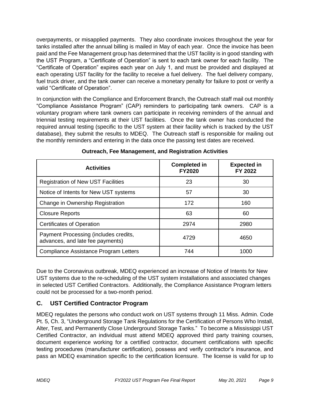overpayments, or misapplied payments. They also coordinate invoices throughout the year for tanks installed after the annual billing is mailed in May of each year. Once the invoice has been paid and the Fee Management group has determined that the UST facility is in good standing with the UST Program, a "Certificate of Operation" is sent to each tank owner for each facility. The "Certificate of Operation" expires each year on July 1, and must be provided and displayed at each operating UST facility for the facility to receive a fuel delivery. The fuel delivery company, fuel truck driver, and the tank owner can receive a monetary penalty for failure to post or verify a valid "Certificate of Operation".

In conjunction with the Compliance and Enforcement Branch, the Outreach staff mail out monthly "Compliance Assistance Program" (CAP) reminders to participating tank owners. CAP is a voluntary program where tank owners can participate in receiving reminders of the annual and triennial testing requirements at their UST facilities. Once the tank owner has conducted the required annual testing (specific to the UST system at their facility which is tracked by the UST database), they submit the results to MDEQ. The Outreach staff is responsible for mailing out the monthly reminders and entering in the data once the passing test dates are received.

| <b>Activities</b>                                                         | <b>Completed in</b><br><b>FY2020</b> | <b>Expected in</b><br>FY 2022 |  |
|---------------------------------------------------------------------------|--------------------------------------|-------------------------------|--|
| <b>Registration of New UST Facilities</b>                                 | 23                                   | 30                            |  |
| Notice of Intents for New UST systems                                     | 57                                   | 30                            |  |
| Change in Ownership Registration                                          | 172                                  | 160                           |  |
| <b>Closure Reports</b>                                                    | 63                                   | 60                            |  |
| <b>Certificates of Operation</b>                                          | 2974                                 | 2980                          |  |
| Payment Processing (includes credits,<br>advances, and late fee payments) | 4729                                 | 4650                          |  |
| Compliance Assistance Program Letters                                     | 744                                  | 1000                          |  |

**Outreach, Fee Management, and Registration Activities**

Due to the Coronavirus outbreak, MDEQ experienced an increase of Notice of Intents for New UST systems due to the re-scheduling of the UST system installations and associated changes in selected UST Certified Contractors. Additionally, the Compliance Assistance Program letters could not be processed for a two-month period.

#### **C. UST Certified Contractor Program**

MDEQ regulates the persons who conduct work on UST systems through 11 Miss. Admin. Code Pt. 5, Ch. 3, "Underground Storage Tank Regulations for the Certification of Persons Who Install, Alter, Test, and Permanently Close Underground Storage Tanks." To become a Mississippi UST Certified Contractor, an individual must attend MDEQ approved third party training courses, document experience working for a certified contractor, document certifications with specific testing procedures (manufacturer certification), possess and verify contractor's insurance, and pass an MDEQ examination specific to the certification licensure. The license is valid for up to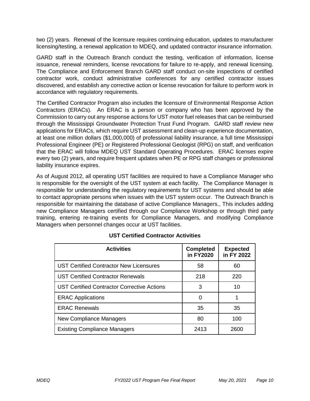two (2) years. Renewal of the licensure requires continuing education, updates to manufacturer licensing/testing, a renewal application to MDEQ, and updated contractor insurance information.

GARD staff in the Outreach Branch conduct the testing, verification of information, license issuance, renewal reminders, license revocations for failure to re-apply, and renewal licensing. The Compliance and Enforcement Branch GARD staff conduct on-site inspections of certified contractor work, conduct administrative conferences for any certified contractor issues discovered, and establish any corrective action or license revocation for failure to perform work in accordance with regulatory requirements.

The Certified Contractor Program also includes the licensure of Environmental Response Action Contractors (ERACs). An ERAC is a person or company who has been approved by the Commission to carry out any response actions for UST motor fuel releases that can be reimbursed through the Mississippi Groundwater Protection Trust Fund Program. GARD staff review new applications for ERACs, which require UST assessment and clean-up experience documentation, at least one million dollars (\$1,000,000) of professional liability insurance, a full time Mississippi Professional Engineer (PE) or Registered Professional Geologist (RPG) on staff, and verification that the ERAC will follow MDEQ UST Standard Operating Procedures. ERAC licenses expire every two (2) years, and require frequent updates when PE or RPG staff changes or professional liability insurance expires.

As of August 2012, all operating UST facilities are required to have a Compliance Manager who is responsible for the oversight of the UST system at each facility. The Compliance Manager is responsible for understanding the regulatory requirements for UST systems and should be able to contact appropriate persons when issues with the UST system occur. The Outreach Branch is responsible for maintaining the database of active Compliance Managers., This includes adding new Compliance Managers certified through our Compliance Workshop or through third party training, entering re-training events for Compliance Managers, and modifying Compliance Managers when personnel changes occur at UST facilities.

| <b>Activities</b>                                  | <b>Completed</b><br>in FY2020 | <b>Expected</b><br>in FY 2022 |
|----------------------------------------------------|-------------------------------|-------------------------------|
| UST Certified Contractor New Licensures            | 58                            | 60                            |
| <b>UST Certified Contractor Renewals</b>           | 218                           | 220                           |
| <b>UST Certified Contractor Corrective Actions</b> | 3                             | 10                            |
| <b>ERAC Applications</b>                           | 0                             |                               |
| <b>ERAC Renewals</b>                               | 35                            | 35                            |
| New Compliance Managers                            | 80                            | 100                           |
| <b>Existing Compliance Managers</b>                | 2413                          | 2600                          |

#### **UST Certified Contractor Activities**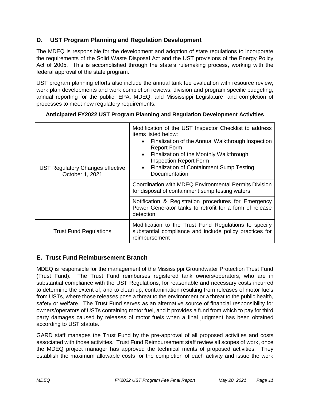#### **D. UST Program Planning and Regulation Development**

The MDEQ is responsible for the development and adoption of state regulations to incorporate the requirements of the Solid Waste Disposal Act and the UST provisions of the Energy Policy Act of 2005. This is accomplished through the state's rulemaking process, working with the federal approval of the state program.

UST program planning efforts also include the annual tank fee evaluation with resource review; work plan developments and work completion reviews; division and program specific budgeting; annual reporting for the public, EPA, MDEQ, and Mississippi Legislature; and completion of processes to meet new regulatory requirements.

| UST Regulatory Changes effective<br>October 1, 2021 | Modification of the UST Inspector Checklist to address<br>items listed below:<br>Finalization of the Annual Walkthrough Inspection<br>$\bullet$<br><b>Report Form</b><br>Finalization of the Monthly Walkthrough<br>$\bullet$<br><b>Inspection Report Form</b><br><b>Finalization of Containment Sump Testing</b><br>$\bullet$<br>Documentation |  |  |  |
|-----------------------------------------------------|-------------------------------------------------------------------------------------------------------------------------------------------------------------------------------------------------------------------------------------------------------------------------------------------------------------------------------------------------|--|--|--|
|                                                     | Coordination with MDEQ Environmental Permits Division<br>for disposal of containment sump testing waters                                                                                                                                                                                                                                        |  |  |  |
|                                                     | Notification & Registration procedures for Emergency<br>Power Generator tanks to retrofit for a form of release<br>detection                                                                                                                                                                                                                    |  |  |  |
| <b>Trust Fund Regulations</b>                       | Modification to the Trust Fund Regulations to specify<br>substantial compliance and include policy practices for<br>reimbursement                                                                                                                                                                                                               |  |  |  |

#### **Anticipated FY2022 UST Program Planning and Regulation Development Activities**

#### **E. Trust Fund Reimbursement Branch**

MDEQ is responsible for the management of the Mississippi Groundwater Protection Trust Fund (Trust Fund). The Trust Fund reimburses registered tank owners/operators, who are in substantial compliance with the UST Regulations, for reasonable and necessary costs incurred to determine the extent of, and to clean up, contamination resulting from releases of motor fuels from USTs, where those releases pose a threat to the environment or a threat to the public health, safety or welfare. The Trust Fund serves as an alternative source of financial responsibility for owners/operators of USTs containing motor fuel, and it provides a fund from which to pay for third party damages caused by releases of motor fuels when a final judgment has been obtained according to UST statute.

GARD staff manages the Trust Fund by the pre-approval of all proposed activities and costs associated with those activities. Trust Fund Reimbursement staff review all scopes of work, once the MDEQ project manager has approved the technical merits of proposed activities. They establish the maximum allowable costs for the completion of each activity and issue the work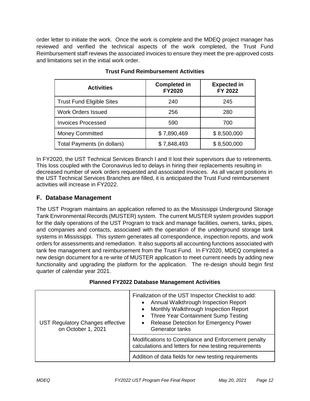order letter to initiate the work. Once the work is complete and the MDEQ project manager has reviewed and verified the technical aspects of the work completed, the Trust Fund Reimbursement staff reviews the associated invoices to ensure they meet the pre-approved costs and limitations set in the initial work order.

| <b>Activities</b>                | <b>Completed in</b><br><b>FY2020</b> | <b>Expected in</b><br>FY 2022 |  |
|----------------------------------|--------------------------------------|-------------------------------|--|
| <b>Trust Fund Eligible Sites</b> | 240                                  | 245                           |  |
| <b>Work Orders Issued</b>        | 256                                  | 280                           |  |
| <b>Invoices Processed</b>        | 590                                  | 700                           |  |
| <b>Money Committed</b>           | \$7,890,469                          | \$8,500,000                   |  |
| Total Payments (in dollars)      | \$7,848,493                          | \$8,500,000                   |  |

#### **Trust Fund Reimbursement Activities**

In FY2020, the UST Technical Services Branch I and II lost their supervisors due to retirements. This loss coupled with the Coronavirus led to delays in hiring their replacements resulting in decreased number of work orders requested and associated invoices. As all vacant positions in the UST Technical Services Branches are filled, it is anticipated the Trust Fund reimbursement activities will increase in FY2022.

#### **F. Database Management**

The UST Program maintains an application referred to as the Mississippi Underground Storage Tank Environmental Records (MUSTER) system. The current MUSTER system provides support for the daily operations of the UST Program to track and manage facilities, owners, tanks, pipes, and companies and contacts, associated with the operation of the underground storage tank systems in Mississippi. This system generates all correspondence, inspection reports, and work orders for assessments and remediation. It also supports all accounting functions associated with tank fee management and reimbursement from the Trust Fund. In FY2020, MDEQ completed a new design document for a re-write of MUSTER application to meet current needs by adding new functionality and upgrading the platform for the application. The re-design should begin first quarter of calendar year 2021.

| <b>UST Regulatory Changes effective</b><br>on October 1, 2021 | Finalization of the UST Inspector Checklist to add:<br>Annual Walkthrough Inspection Report<br>$\bullet$<br>Monthly Walkthrough Inspection Report<br>$\bullet$<br>Three Year Containment Sump Testing<br>$\bullet$<br>Release Detection for Emergency Power<br>$\bullet$<br>Generator tanks |  |  |
|---------------------------------------------------------------|---------------------------------------------------------------------------------------------------------------------------------------------------------------------------------------------------------------------------------------------------------------------------------------------|--|--|
|                                                               | Modifications to Compliance and Enforcement penalty<br>calculations and letters for new testing requirements                                                                                                                                                                                |  |  |
|                                                               | Addition of data fields for new testing requirements                                                                                                                                                                                                                                        |  |  |

#### **Planned FY2022 Database Management Activities**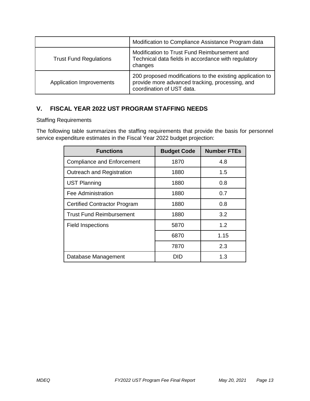|                               | Modification to Compliance Assistance Program data                                                                                        |
|-------------------------------|-------------------------------------------------------------------------------------------------------------------------------------------|
| <b>Trust Fund Regulations</b> | Modification to Trust Fund Reimbursement and<br>Technical data fields in accordance with regulatory<br>changes                            |
| Application Improvements      | 200 proposed modifications to the existing application to<br>provide more advanced tracking, processing, and<br>coordination of UST data. |

#### **V. FISCAL YEAR 2022 UST PROGRAM STAFFING NEEDS**

Staffing Requirements

The following table summarizes the staffing requirements that provide the basis for personnel service expenditure estimates in the Fiscal Year 2022 budget projection:

| <b>Functions</b>                    | <b>Budget Code</b> | <b>Number FTEs</b> |  |
|-------------------------------------|--------------------|--------------------|--|
| <b>Compliance and Enforcement</b>   | 1870               | 4.8                |  |
| Outreach and Registration           | 1880               | 1.5                |  |
| <b>UST Planning</b>                 | 1880               | 0.8                |  |
| Fee Administration                  | 1880               | 0.7                |  |
| <b>Certified Contractor Program</b> | 1880               | 0.8                |  |
| <b>Trust Fund Reimbursement</b>     | 1880               | 3.2                |  |
| <b>Field Inspections</b>            | 5870               | 1.2                |  |
|                                     | 6870               | 1.15               |  |
|                                     | 7870               | 2.3                |  |
| Database Management                 | DID                | 1.3                |  |